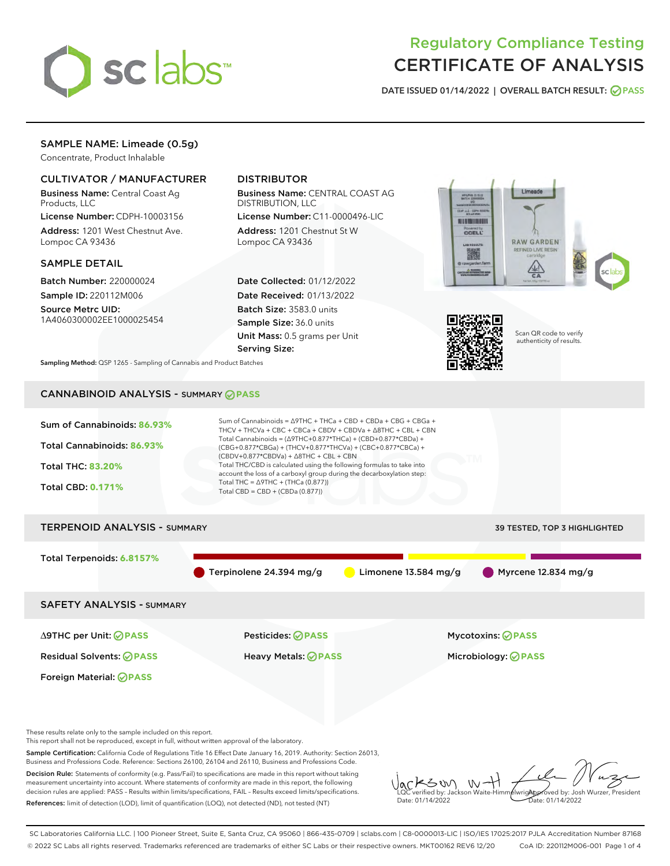

# Regulatory Compliance Testing CERTIFICATE OF ANALYSIS

DATE ISSUED 01/14/2022 | OVERALL BATCH RESULT: @ PASS

## SAMPLE NAME: Limeade (0.5g)

Concentrate, Product Inhalable

## CULTIVATOR / MANUFACTURER

Business Name: Central Coast Ag Products, LLC

License Number: CDPH-10003156 Address: 1201 West Chestnut Ave. Lompoc CA 93436

#### SAMPLE DETAIL

Batch Number: 220000024 Sample ID: 220112M006

Source Metrc UID: 1A4060300002EE1000025454

## DISTRIBUTOR

Business Name: CENTRAL COAST AG DISTRIBUTION, LLC

License Number: C11-0000496-LIC Address: 1201 Chestnut St W Lompoc CA 93436

Date Collected: 01/12/2022 Date Received: 01/13/2022 Batch Size: 3583.0 units Sample Size: 36.0 units Unit Mass: 0.5 grams per Unit Serving Size:





Scan QR code to verify authenticity of results.

Sampling Method: QSP 1265 - Sampling of Cannabis and Product Batches

## CANNABINOID ANALYSIS - SUMMARY **PASS**



This report shall not be reproduced, except in full, without written approval of the laboratory.

Sample Certification: California Code of Regulations Title 16 Effect Date January 16, 2019. Authority: Section 26013, Business and Professions Code. Reference: Sections 26100, 26104 and 26110, Business and Professions Code.

Decision Rule: Statements of conformity (e.g. Pass/Fail) to specifications are made in this report without taking measurement uncertainty into account. Where statements of conformity are made in this report, the following decision rules are applied: PASS – Results within limits/specifications, FAIL – Results exceed limits/specifications. References: limit of detection (LOD), limit of quantification (LOQ), not detected (ND), not tested (NT)

KSW  $W$ Approved by: Josh Wurzer, President LQC verified by: Jackson Waite-Himmelwright Date: 01/14/2022 Date: 01/14/2022

SC Laboratories California LLC. | 100 Pioneer Street, Suite E, Santa Cruz, CA 95060 | 866-435-0709 | sclabs.com | C8-0000013-LIC | ISO/IES 17025:2017 PJLA Accreditation Number 87168 © 2022 SC Labs all rights reserved. Trademarks referenced are trademarks of either SC Labs or their respective owners. MKT00162 REV6 12/20 CoA ID: 220112M006-001 Page 1 of 4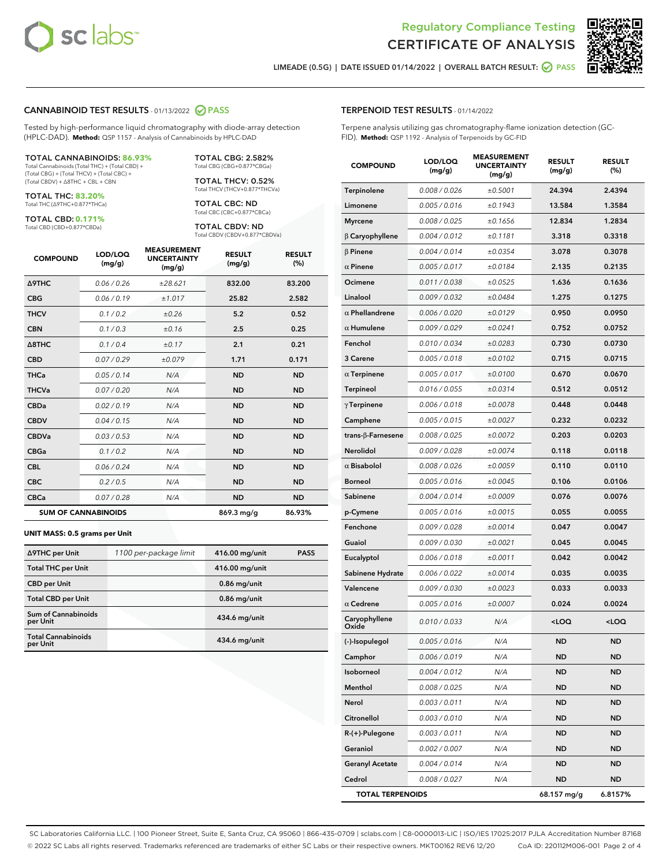



LIMEADE (0.5G) | DATE ISSUED 01/14/2022 | OVERALL BATCH RESULT:  $\bigcirc$  PASS

#### CANNABINOID TEST RESULTS - 01/13/2022 2 PASS

Tested by high-performance liquid chromatography with diode-array detection (HPLC-DAD). **Method:** QSP 1157 - Analysis of Cannabinoids by HPLC-DAD

#### TOTAL CANNABINOIDS: **86.93%**

Total Cannabinoids (Total THC) + (Total CBD) + (Total CBG) + (Total THCV) + (Total CBC) + (Total CBDV) + ∆8THC + CBL + CBN

TOTAL THC: **83.20%** Total THC (∆9THC+0.877\*THCa)

TOTAL CBD: **0.171%**

Total CBD (CBD+0.877\*CBDa)

TOTAL CBG: 2.582% Total CBG (CBG+0.877\*CBGa)

TOTAL THCV: 0.52% Total THCV (THCV+0.877\*THCVa)

TOTAL CBC: ND Total CBC (CBC+0.877\*CBCa)

TOTAL CBDV: ND Total CBDV (CBDV+0.877\*CBDVa)

| <b>COMPOUND</b>  | LOD/LOQ<br>(mg/g)          | <b>MEASUREMENT</b><br><b>UNCERTAINTY</b><br>(mg/g) | <b>RESULT</b><br>(mg/g) | <b>RESULT</b><br>(%) |
|------------------|----------------------------|----------------------------------------------------|-------------------------|----------------------|
| <b>A9THC</b>     | 0.06/0.26                  | ±28.621                                            | 832.00                  | 83.200               |
| <b>CBG</b>       | 0.06/0.19                  | ±1.017                                             | 25.82                   | 2.582                |
| <b>THCV</b>      | 0.1/0.2                    | ±0.26                                              | 5.2                     | 0.52                 |
| <b>CBN</b>       | 0.1/0.3                    | ±0.16                                              | 2.5                     | 0.25                 |
| $\triangle$ 8THC | 0.1/0.4                    | ±0.17                                              | 2.1                     | 0.21                 |
| <b>CBD</b>       | 0.07/0.29                  | ±0.079                                             | 1.71                    | 0.171                |
| <b>THCa</b>      | 0.05/0.14                  | N/A                                                | <b>ND</b>               | <b>ND</b>            |
| <b>THCVa</b>     | 0.07/0.20                  | N/A                                                | <b>ND</b>               | <b>ND</b>            |
| <b>CBDa</b>      | 0.02/0.19                  | N/A                                                | <b>ND</b>               | <b>ND</b>            |
| <b>CBDV</b>      | 0.04/0.15                  | N/A                                                | <b>ND</b>               | <b>ND</b>            |
| <b>CBDVa</b>     | 0.03/0.53                  | N/A                                                | <b>ND</b>               | <b>ND</b>            |
| <b>CBGa</b>      | 0.1 / 0.2                  | N/A                                                | <b>ND</b>               | <b>ND</b>            |
| <b>CBL</b>       | 0.06 / 0.24                | N/A                                                | <b>ND</b>               | <b>ND</b>            |
| <b>CBC</b>       | 0.2 / 0.5                  | N/A                                                | <b>ND</b>               | <b>ND</b>            |
| <b>CBCa</b>      | 0.07/0.28                  | N/A                                                | <b>ND</b>               | <b>ND</b>            |
|                  | <b>SUM OF CANNABINOIDS</b> |                                                    | 869.3 mg/g              | 86.93%               |

#### **UNIT MASS: 0.5 grams per Unit**

| ∆9THC per Unit                         | 1100 per-package limit | 416.00 mg/unit | <b>PASS</b> |
|----------------------------------------|------------------------|----------------|-------------|
| <b>Total THC per Unit</b>              |                        | 416.00 mg/unit |             |
| <b>CBD per Unit</b>                    |                        | $0.86$ mg/unit |             |
| <b>Total CBD per Unit</b>              |                        | $0.86$ mg/unit |             |
| <b>Sum of Cannabinoids</b><br>per Unit |                        | 434.6 mg/unit  |             |
| <b>Total Cannabinoids</b><br>per Unit  |                        | 434.6 mg/unit  |             |

| <b>COMPOUND</b>           | LOD/LOQ<br>(mg/g) | ASUREIVI<br><b>UNCERTAINTY</b><br>(mg/g) | <b>RESULT</b><br>(mg/g)                         | <b>RESULT</b><br>$(\%)$ |
|---------------------------|-------------------|------------------------------------------|-------------------------------------------------|-------------------------|
| Terpinolene               | 0.008 / 0.026     | ±0.5001                                  | 24.394                                          | 2.4394                  |
| Limonene                  | 0.005 / 0.016     | ±0.1943                                  | 13.584                                          | 1.3584                  |
| <b>Myrcene</b>            | 0.008 / 0.025     | ±0.1656                                  | 12.834                                          | 1.2834                  |
| β Caryophyllene           | 0.004 / 0.012     | ±0.1181                                  | 3.318                                           | 0.3318                  |
| $\beta$ Pinene            | 0.004 / 0.014     | ±0.0354                                  | 3.078                                           | 0.3078                  |
| $\alpha$ Pinene           | 0.005 / 0.017     | ±0.0184                                  | 2.135                                           | 0.2135                  |
| Ocimene                   | 0.011 / 0.038     | ±0.0525                                  | 1.636                                           | 0.1636                  |
| Linalool                  | 0.009 / 0.032     | ±0.0484                                  | 1.275                                           | 0.1275                  |
| $\alpha$ Phellandrene     | 0.006 / 0.020     | ±0.0129                                  | 0.950                                           | 0.0950                  |
| $\alpha$ Humulene         | 0.009/0.029       | ±0.0241                                  | 0.752                                           | 0.0752                  |
| Fenchol                   | 0.010 / 0.034     | ±0.0283                                  | 0.730                                           | 0.0730                  |
| 3 Carene                  | 0.005 / 0.018     | ±0.0102                                  | 0.715                                           | 0.0715                  |
| $\alpha$ Terpinene        | 0.005 / 0.017     | ±0.0100                                  | 0.670                                           | 0.0670                  |
| Terpineol                 | 0.016 / 0.055     | ±0.0314                                  | 0.512                                           | 0.0512                  |
| $\gamma$ Terpinene        | 0.006 / 0.018     | ±0.0078                                  | 0.448                                           | 0.0448                  |
| Camphene                  | 0.005 / 0.015     | ±0.0027                                  | 0.232                                           | 0.0232                  |
| trans- $\beta$ -Farnesene | 0.008 / 0.025     | ±0.0072                                  | 0.203                                           | 0.0203                  |
| Nerolidol                 | 0.009 / 0.028     | ±0.0074                                  | 0.118                                           | 0.0118                  |
| $\alpha$ Bisabolol        | 0.008 / 0.026     | ±0.0059                                  | 0.110                                           | 0.0110                  |
| Borneol                   | 0.005 / 0.016     | ±0.0045                                  | 0.106                                           | 0.0106                  |
| Sabinene                  | 0.004 / 0.014     | ±0.0009                                  | 0.076                                           | 0.0076                  |
| p-Cymene                  | 0.005 / 0.016     | ±0.0015                                  | 0.055                                           | 0.0055                  |
| Fenchone                  | 0.009 / 0.028     | ±0.0014                                  | 0.047                                           | 0.0047                  |
| Guaiol                    | 0.009 / 0.030     | ±0.0021                                  | 0.045                                           | 0.0045                  |
| Eucalyptol                | 0.006 / 0.018     | ±0.0011                                  | 0.042                                           | 0.0042                  |
| Sabinene Hydrate          | 0.006 / 0.022     | ±0.0014                                  | 0.035                                           | 0.0035                  |
| Valencene                 | 0.009 / 0.030     | ±0.0023                                  | 0.033                                           | 0.0033                  |
| $\alpha$ Cedrene          | 0.005 / 0.016     | ±0.0007                                  | 0.024                                           | 0.0024                  |
| Caryophyllene<br>Oxide    | 0.010 / 0.033     | N/A                                      | <loq< th=""><th><loq< th=""></loq<></th></loq<> | <loq< th=""></loq<>     |
| (-)-Isopulegol            | 0.005 / 0.016     | N/A                                      | ND                                              | <b>ND</b>               |
| Camphor                   | 0.006 / 0.019     | N/A                                      | ND                                              | ND                      |
| Isoborneol                | 0.004 / 0.012     | N/A                                      | ND                                              | ND                      |
| Menthol                   | 0.008 / 0.025     | N/A                                      | ND                                              | ND                      |
| Nerol                     | 0.003 / 0.011     | N/A                                      | ND                                              | ND                      |
| Citronellol               | 0.003 / 0.010     | N/A                                      | ND                                              | ND                      |
| R-(+)-Pulegone            | 0.003 / 0.011     | N/A                                      | ND                                              | ND                      |
| Geraniol                  | 0.002 / 0.007     | N/A                                      | ND                                              | ND                      |
| <b>Geranyl Acetate</b>    | 0.004 / 0.014     | N/A                                      | ND                                              | ND                      |
| Cedrol                    | 0.008 / 0.027     | N/A                                      | ND                                              | ND                      |
| <b>TOTAL TERPENOIDS</b>   |                   |                                          | 68.157 mg/g                                     | 6.8157%                 |

SC Laboratories California LLC. | 100 Pioneer Street, Suite E, Santa Cruz, CA 95060 | 866-435-0709 | sclabs.com | C8-0000013-LIC | ISO/IES 17025:2017 PJLA Accreditation Number 87168 © 2022 SC Labs all rights reserved. Trademarks referenced are trademarks of either SC Labs or their respective owners. MKT00162 REV6 12/20 CoA ID: 220112M006-001 Page 2 of 4

## TERPENOID TEST RESULTS - 01/14/2022

Terpene analysis utilizing gas chromatography-flame ionization detection (GC-FID). **Method:** QSP 1192 - Analysis of Terpenoids by GC-FID

MEASUREMENT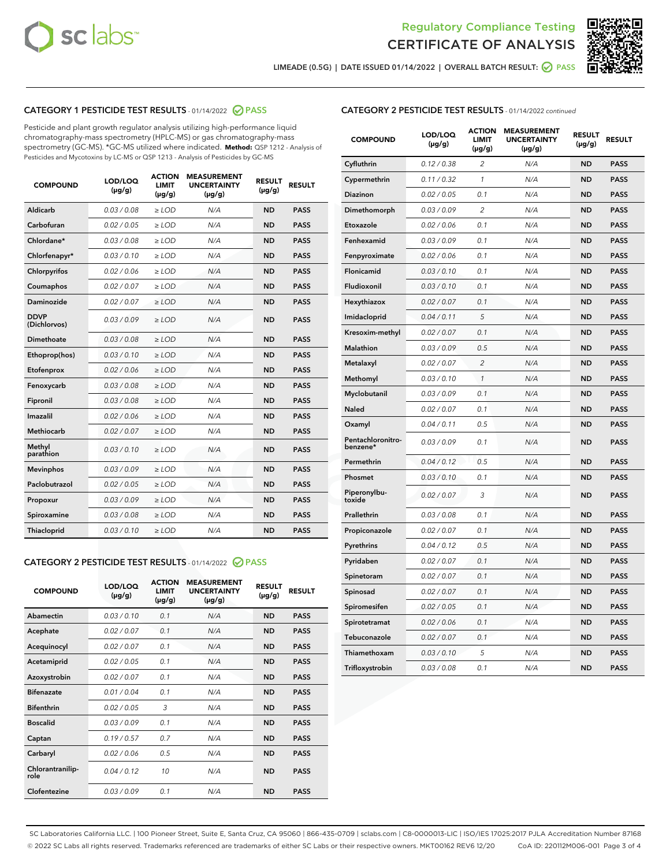



LIMEADE (0.5G) | DATE ISSUED 01/14/2022 | OVERALL BATCH RESULT: ● PASS

## CATEGORY 1 PESTICIDE TEST RESULTS - 01/14/2022 2 PASS

Pesticide and plant growth regulator analysis utilizing high-performance liquid chromatography-mass spectrometry (HPLC-MS) or gas chromatography-mass spectrometry (GC-MS). \*GC-MS utilized where indicated. **Method:** QSP 1212 - Analysis of Pesticides and Mycotoxins by LC-MS or QSP 1213 - Analysis of Pesticides by GC-MS

| <b>COMPOUND</b>             | LOD/LOQ<br>$(\mu g/g)$ | <b>ACTION</b><br><b>LIMIT</b><br>$(\mu g/g)$ | <b>MEASUREMENT</b><br><b>UNCERTAINTY</b><br>$(\mu g/g)$ | <b>RESULT</b><br>$(\mu g/g)$ | <b>RESULT</b> |
|-----------------------------|------------------------|----------------------------------------------|---------------------------------------------------------|------------------------------|---------------|
| Aldicarb                    | 0.03 / 0.08            | $\ge$ LOD                                    | N/A                                                     | <b>ND</b>                    | <b>PASS</b>   |
| Carbofuran                  | 0.02 / 0.05            | $\ge$ LOD                                    | N/A                                                     | <b>ND</b>                    | <b>PASS</b>   |
| Chlordane*                  | 0.03 / 0.08            | $\ge$ LOD                                    | N/A                                                     | <b>ND</b>                    | <b>PASS</b>   |
| Chlorfenapyr*               | 0.03/0.10              | $\ge$ LOD                                    | N/A                                                     | <b>ND</b>                    | <b>PASS</b>   |
| Chlorpyrifos                | 0.02 / 0.06            | $\ge$ LOD                                    | N/A                                                     | <b>ND</b>                    | <b>PASS</b>   |
| Coumaphos                   | 0.02 / 0.07            | $\ge$ LOD                                    | N/A                                                     | <b>ND</b>                    | <b>PASS</b>   |
| Daminozide                  | 0.02/0.07              | $\ge$ LOD                                    | N/A                                                     | <b>ND</b>                    | <b>PASS</b>   |
| <b>DDVP</b><br>(Dichlorvos) | 0.03/0.09              | $>$ LOD                                      | N/A                                                     | <b>ND</b>                    | <b>PASS</b>   |
| Dimethoate                  | 0.03 / 0.08            | $\ge$ LOD                                    | N/A                                                     | <b>ND</b>                    | <b>PASS</b>   |
| Ethoprop(hos)               | 0.03/0.10              | $>$ LOD                                      | N/A                                                     | <b>ND</b>                    | <b>PASS</b>   |
| Etofenprox                  | 0.02 / 0.06            | $\ge$ LOD                                    | N/A                                                     | <b>ND</b>                    | <b>PASS</b>   |
| Fenoxycarb                  | 0.03 / 0.08            | $\ge$ LOD                                    | N/A                                                     | <b>ND</b>                    | <b>PASS</b>   |
| Fipronil                    | 0.03/0.08              | $>$ LOD                                      | N/A                                                     | <b>ND</b>                    | <b>PASS</b>   |
| Imazalil                    | 0.02 / 0.06            | $\ge$ LOD                                    | N/A                                                     | <b>ND</b>                    | <b>PASS</b>   |
| <b>Methiocarb</b>           | 0.02 / 0.07            | $\ge$ LOD                                    | N/A                                                     | <b>ND</b>                    | <b>PASS</b>   |
| Methyl<br>parathion         | 0.03/0.10              | $\ge$ LOD                                    | N/A                                                     | <b>ND</b>                    | <b>PASS</b>   |
| <b>Mevinphos</b>            | 0.03/0.09              | $\ge$ LOD                                    | N/A                                                     | <b>ND</b>                    | <b>PASS</b>   |
| Paclobutrazol               | 0.02 / 0.05            | $\ge$ LOD                                    | N/A                                                     | <b>ND</b>                    | <b>PASS</b>   |
| Propoxur                    | 0.03/0.09              | $\ge$ LOD                                    | N/A                                                     | <b>ND</b>                    | <b>PASS</b>   |
| Spiroxamine                 | 0.03 / 0.08            | $\ge$ LOD                                    | N/A                                                     | <b>ND</b>                    | <b>PASS</b>   |
| Thiacloprid                 | 0.03/0.10              | $\ge$ LOD                                    | N/A                                                     | <b>ND</b>                    | <b>PASS</b>   |

#### CATEGORY 2 PESTICIDE TEST RESULTS - 01/14/2022 2 PASS

| <b>COMPOUND</b>          | LOD/LOO<br>$(\mu g/g)$ | <b>ACTION</b><br>LIMIT<br>$(\mu g/g)$ | <b>MEASUREMENT</b><br><b>UNCERTAINTY</b><br>$(\mu g/g)$ | <b>RESULT</b><br>$(\mu g/g)$ | <b>RESULT</b> |  |
|--------------------------|------------------------|---------------------------------------|---------------------------------------------------------|------------------------------|---------------|--|
| Abamectin                | 0.03/0.10              | 0.1                                   | N/A                                                     | <b>ND</b>                    | <b>PASS</b>   |  |
| Acephate                 | 0.02/0.07              | 0.1                                   | N/A                                                     | <b>ND</b>                    | <b>PASS</b>   |  |
| Acequinocyl              | 0.02/0.07              | 0.1                                   | N/A                                                     | <b>ND</b>                    | <b>PASS</b>   |  |
| Acetamiprid              | 0.02 / 0.05            | 0.1                                   | N/A                                                     | <b>ND</b>                    | <b>PASS</b>   |  |
| Azoxystrobin             | 0.02/0.07              | 0.1                                   | N/A                                                     | <b>ND</b>                    | <b>PASS</b>   |  |
| <b>Bifenazate</b>        | 0.01 / 0.04            | 0.1                                   | N/A                                                     | <b>ND</b>                    | <b>PASS</b>   |  |
| <b>Bifenthrin</b>        | 0.02 / 0.05            | 3                                     | N/A                                                     | <b>ND</b>                    | <b>PASS</b>   |  |
| <b>Boscalid</b>          | 0.03/0.09              | 0.1                                   | N/A                                                     | <b>ND</b>                    | <b>PASS</b>   |  |
| Captan                   | 0.19/0.57              | 0.7                                   | N/A                                                     | <b>ND</b>                    | <b>PASS</b>   |  |
| Carbaryl                 | 0.02/0.06              | 0.5                                   | N/A                                                     | <b>ND</b>                    | <b>PASS</b>   |  |
| Chlorantranilip-<br>role | 0.04/0.12              | 10                                    | N/A                                                     | <b>ND</b>                    | <b>PASS</b>   |  |
| Clofentezine             | 0.03/0.09              | 0.1                                   | N/A                                                     | <b>ND</b>                    | <b>PASS</b>   |  |

| <b>CATEGORY 2 PESTICIDE TEST RESULTS</b> - 01/14/2022 continued |  |
|-----------------------------------------------------------------|--|
|                                                                 |  |

| <b>COMPOUND</b>               | LOD/LOQ<br>(µg/g) | <b>ACTION</b><br>LIMIT<br>(µg/g) | <b>MEASUREMENT</b><br><b>UNCERTAINTY</b><br>$(\mu g/g)$ | <b>RESULT</b><br>(µg/g) | <b>RESULT</b> |
|-------------------------------|-------------------|----------------------------------|---------------------------------------------------------|-------------------------|---------------|
| Cyfluthrin                    | 0.12 / 0.38       | $\overline{c}$                   | N/A                                                     | ND                      | <b>PASS</b>   |
| Cypermethrin                  | 0.11/0.32         | 1                                | N/A                                                     | ND                      | <b>PASS</b>   |
| Diazinon                      | 0.02 / 0.05       | 0.1                              | N/A                                                     | ND                      | <b>PASS</b>   |
| Dimethomorph                  | 0.03 / 0.09       | 2                                | N/A                                                     | <b>ND</b>               | <b>PASS</b>   |
| Etoxazole                     | 0.02 / 0.06       | 0.1                              | N/A                                                     | ND                      | <b>PASS</b>   |
| Fenhexamid                    | 0.03 / 0.09       | 0.1                              | N/A                                                     | <b>ND</b>               | <b>PASS</b>   |
| Fenpyroximate                 | 0.02 / 0.06       | 0.1                              | N/A                                                     | <b>ND</b>               | <b>PASS</b>   |
| Flonicamid                    | 0.03 / 0.10       | 0.1                              | N/A                                                     | <b>ND</b>               | <b>PASS</b>   |
| Fludioxonil                   | 0.03 / 0.10       | 0.1                              | N/A                                                     | ND                      | <b>PASS</b>   |
| Hexythiazox                   | 0.02 / 0.07       | 0.1                              | N/A                                                     | <b>ND</b>               | <b>PASS</b>   |
| Imidacloprid                  | 0.04 / 0.11       | 5                                | N/A                                                     | ND                      | <b>PASS</b>   |
| Kresoxim-methyl               | 0.02 / 0.07       | 0.1                              | N/A                                                     | ND                      | <b>PASS</b>   |
| <b>Malathion</b>              | 0.03 / 0.09       | 0.5                              | N/A                                                     | <b>ND</b>               | <b>PASS</b>   |
| Metalaxyl                     | 0.02 / 0.07       | $\overline{\mathcal{L}}$         | N/A                                                     | <b>ND</b>               | <b>PASS</b>   |
| Methomyl                      | 0.03 / 0.10       | $\mathbf{1}$                     | N/A                                                     | <b>ND</b>               | <b>PASS</b>   |
| Myclobutanil                  | 0.03 / 0.09       | 0.1                              | N/A                                                     | <b>ND</b>               | <b>PASS</b>   |
| Naled                         | 0.02 / 0.07       | 0.1                              | N/A                                                     | <b>ND</b>               | <b>PASS</b>   |
| Oxamyl                        | 0.04 / 0.11       | 0.5                              | N/A                                                     | <b>ND</b>               | <b>PASS</b>   |
| Pentachloronitro-<br>benzene* | 0.03 / 0.09       | 0.1                              | N/A                                                     | <b>ND</b>               | <b>PASS</b>   |
| Permethrin                    | 0.04/0.12         | 0.5                              | N/A                                                     | ND                      | <b>PASS</b>   |
| Phosmet                       | 0.03 / 0.10       | 0.1                              | N/A                                                     | ND                      | <b>PASS</b>   |
| Piperonylbu-<br>toxide        | 0.02 / 0.07       | 3                                | N/A                                                     | <b>ND</b>               | <b>PASS</b>   |
| Prallethrin                   | 0.03 / 0.08       | 0.1                              | N/A                                                     | ND                      | <b>PASS</b>   |
| Propiconazole                 | 0.02 / 0.07       | 0.1                              | N/A                                                     | <b>ND</b>               | <b>PASS</b>   |
| Pyrethrins                    | 0.04 / 0.12       | 0.5                              | N/A                                                     | ND                      | <b>PASS</b>   |
| Pyridaben                     | 0.02 / 0.07       | 0.1                              | N/A                                                     | ND                      | <b>PASS</b>   |
| Spinetoram                    | 0.02 / 0.07       | 0.1                              | N/A                                                     | ND                      | <b>PASS</b>   |
| Spinosad                      | 0.02 / 0.07       | 0.1                              | N/A                                                     | <b>ND</b>               | <b>PASS</b>   |
| Spiromesifen                  | 0.02 / 0.05       | 0.1                              | N/A                                                     | ND                      | <b>PASS</b>   |
| Spirotetramat                 | 0.02 / 0.06       | 0.1                              | N/A                                                     | ND                      | <b>PASS</b>   |
| Tebuconazole                  | 0.02 / 0.07       | 0.1                              | N/A                                                     | ND                      | <b>PASS</b>   |
| Thiamethoxam                  | 0.03 / 0.10       | 5                                | N/A                                                     | ND                      | <b>PASS</b>   |
| Trifloxystrobin               | 0.03 / 0.08       | 0.1                              | N/A                                                     | ND                      | <b>PASS</b>   |

SC Laboratories California LLC. | 100 Pioneer Street, Suite E, Santa Cruz, CA 95060 | 866-435-0709 | sclabs.com | C8-0000013-LIC | ISO/IES 17025:2017 PJLA Accreditation Number 87168 © 2022 SC Labs all rights reserved. Trademarks referenced are trademarks of either SC Labs or their respective owners. MKT00162 REV6 12/20 CoA ID: 220112M006-001 Page 3 of 4